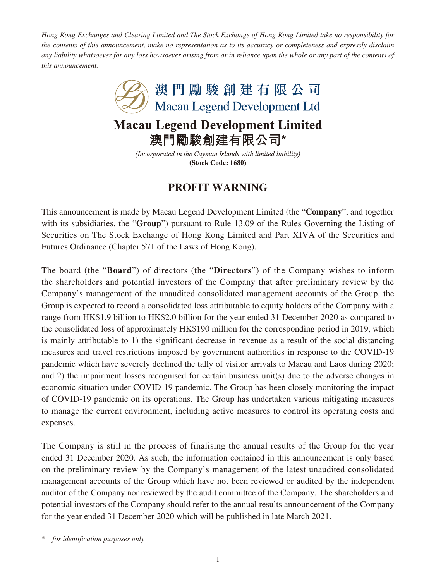*Hong Kong Exchanges and Clearing Limited and The Stock Exchange of Hong Kong Limited take no responsibility for the contents of this announcement, make no representation as to its accuracy or completeness and expressly disclaim any liability whatsoever for any loss howsoever arising from or in reliance upon the whole or any part of the contents of this announcement.*



(Incorporated in the Cayman Islands with limited liability) (Stock Code: 1680)

## **PROFIT WARNING**

This announcement is made by Macau Legend Development Limited (the "**Company**", and together with its subsidiaries, the "**Group**") pursuant to Rule 13.09 of the Rules Governing the Listing of Securities on The Stock Exchange of Hong Kong Limited and Part XIVA of the Securities and Futures Ordinance (Chapter 571 of the Laws of Hong Kong).

The board (the "**Board**") of directors (the "**Directors**") of the Company wishes to inform the shareholders and potential investors of the Company that after preliminary review by the Company's management of the unaudited consolidated management accounts of the Group, the Group is expected to record a consolidated loss attributable to equity holders of the Company with a range from HK\$1.9 billion to HK\$2.0 billion for the year ended 31 December 2020 as compared to the consolidated loss of approximately HK\$190 million for the corresponding period in 2019, which is mainly attributable to 1) the significant decrease in revenue as a result of the social distancing measures and travel restrictions imposed by government authorities in response to the COVID-19 pandemic which have severely declined the tally of visitor arrivals to Macau and Laos during 2020; and 2) the impairment losses recognised for certain business unit(s) due to the adverse changes in economic situation under COVID-19 pandemic. The Group has been closely monitoring the impact of COVID-19 pandemic on its operations. The Group has undertaken various mitigating measures to manage the current environment, including active measures to control its operating costs and expenses.

The Company is still in the process of finalising the annual results of the Group for the year ended 31 December 2020. As such, the information contained in this announcement is only based on the preliminary review by the Company's management of the latest unaudited consolidated management accounts of the Group which have not been reviewed or audited by the independent auditor of the Company nor reviewed by the audit committee of the Company. The shareholders and potential investors of the Company should refer to the annual results announcement of the Company for the year ended 31 December 2020 which will be published in late March 2021.

\* *for identification purposes only*